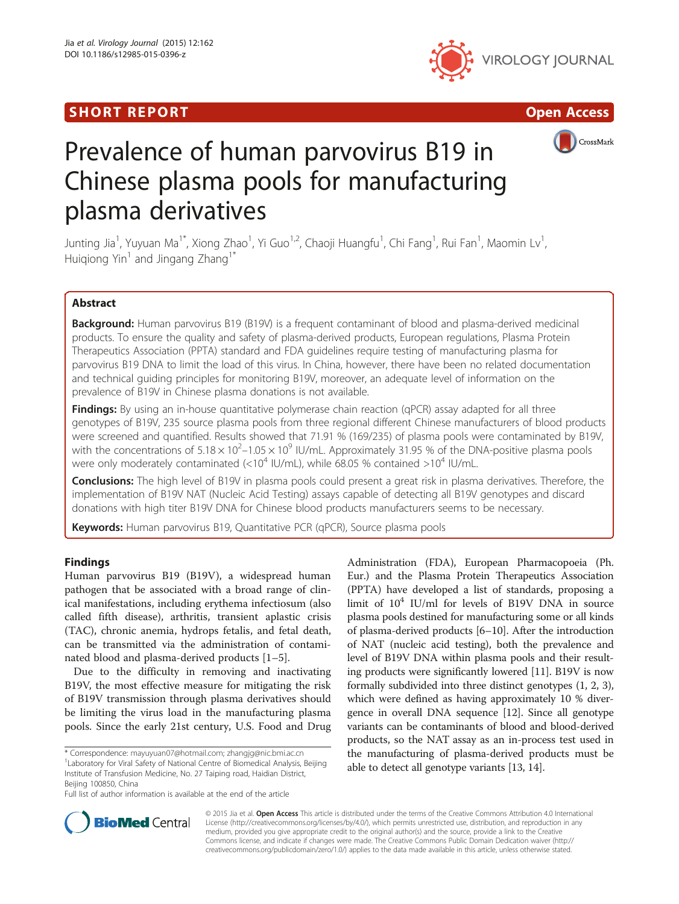## **SHORT REPORT CONSUMING THE SHORT CONSUMING THE CONSUMING THE CONSUMING THE CONSUMING THE CONSUMING THE CONSUMING T**







# Prevalence of human parvovirus B19 in Chinese plasma pools for manufacturing plasma derivatives

Junting Jia<sup>1</sup>, Yuyuan Ma<sup>1\*</sup>, Xiong Zhao<sup>1</sup>, Yi Guo<sup>1,2</sup>, Chaoji Huangfu<sup>1</sup>, Chi Fang<sup>1</sup>, Rui Fan<sup>1</sup>, Maomin Lv<sup>1</sup> , Huigiong Yin<sup>1</sup> and Jingang Zhang<sup>1\*</sup>

### Abstract

**Background:** Human parvovirus B19 (B19V) is a frequent contaminant of blood and plasma-derived medicinal products. To ensure the quality and safety of plasma-derived products, European regulations, Plasma Protein Therapeutics Association (PPTA) standard and FDA guidelines require testing of manufacturing plasma for parvovirus B19 DNA to limit the load of this virus. In China, however, there have been no related documentation and technical guiding principles for monitoring B19V, moreover, an adequate level of information on the prevalence of B19V in Chinese plasma donations is not available.

Findings: By using an in-house quantitative polymerase chain reaction (qPCR) assay adapted for all three genotypes of B19V, 235 source plasma pools from three regional different Chinese manufacturers of blood products were screened and quantified. Results showed that 71.91 % (169/235) of plasma pools were contaminated by B19V, with the concentrations of  $5.18 \times 10^2$ –1.05  $\times$  10<sup>9</sup> IU/mL. Approximately 31.95 % of the DNA-positive plasma pools were only moderately contaminated (<10<sup>4</sup> IU/mL), while 68.05 % contained >10<sup>4</sup> IU/mL.

Conclusions: The high level of B19V in plasma pools could present a great risk in plasma derivatives. Therefore, the implementation of B19V NAT (Nucleic Acid Testing) assays capable of detecting all B19V genotypes and discard donations with high titer B19V DNA for Chinese blood products manufacturers seems to be necessary.

Keywords: Human parvovirus B19, Quantitative PCR (qPCR), Source plasma pools

## Findings

Human parvovirus B19 (B19V), a widespread human pathogen that be associated with a broad range of clinical manifestations, including erythema infectiosum (also called fifth disease), arthritis, transient aplastic crisis (TAC), chronic anemia, hydrops fetalis, and fetal death, can be transmitted via the administration of contaminated blood and plasma-derived products [\[1](#page-3-0)–[5](#page-3-0)].

Due to the difficulty in removing and inactivating B19V, the most effective measure for mitigating the risk of B19V transmission through plasma derivatives should be limiting the virus load in the manufacturing plasma pools. Since the early 21st century, U.S. Food and Drug

\* Correspondence: [mayuyuan07@hotmail.com;](mailto:mayuyuan07@hotmail.com) [zhangjg@nic.bmi.ac.cn](mailto:zhangjg@nic.bmi.ac.cn) <sup>1</sup> <sup>1</sup> Laboratory for Viral Safety of National Centre of Biomedical Analysis, Beijing Institute of Transfusion Medicine, No. 27 Taiping road, Haidian District, Beijing 100850, China

Full list of author information is available at the end of the article

Administration (FDA), European Pharmacopoeia (Ph. Eur.) and the Plasma Protein Therapeutics Association (PPTA) have developed a list of standards, proposing a limit of  $10^4$  IU/ml for levels of B19V DNA in source plasma pools destined for manufacturing some or all kinds of plasma-derived products [[6](#page-3-0)–[10](#page-3-0)]. After the introduction of NAT (nucleic acid testing), both the prevalence and level of B19V DNA within plasma pools and their resulting products were significantly lowered [\[11\]](#page-3-0). B19V is now formally subdivided into three distinct genotypes (1, 2, 3), which were defined as having approximately 10 % divergence in overall DNA sequence [\[12\]](#page-3-0). Since all genotype variants can be contaminants of blood and blood-derived products, so the NAT assay as an in-process test used in the manufacturing of plasma-derived products must be able to detect all genotype variants [[13, 14\]](#page-3-0).



© 2015 Jia et al. Open Access This article is distributed under the terms of the Creative Commons Attribution 4.0 International License ([http://creativecommons.org/licenses/by/4.0/\)](http://creativecommons.org/licenses/by/4.0/), which permits unrestricted use, distribution, and reproduction in any medium, provided you give appropriate credit to the original author(s) and the source, provide a link to the Creative Commons license, and indicate if changes were made. The Creative Commons Public Domain Dedication waiver ([http://](http://creativecommons.org/publicdomain/zero/1.0/) [creativecommons.org/publicdomain/zero/1.0/\)](http://creativecommons.org/publicdomain/zero/1.0/) applies to the data made available in this article, unless otherwise stated.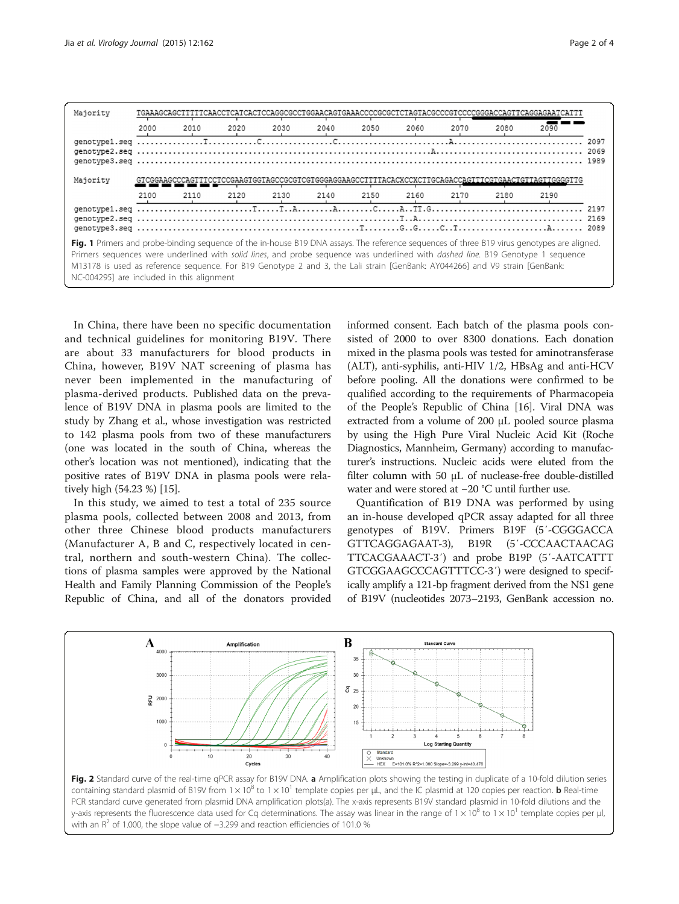<span id="page-1-0"></span>

| Majority                                                                                                                                                                                                                                                                                                                                                                                                                                                           |      |      |      |      |      |      |      | AGTACGCCCGTCCCCGGGACCAGT |      |                                                                                    |      |
|--------------------------------------------------------------------------------------------------------------------------------------------------------------------------------------------------------------------------------------------------------------------------------------------------------------------------------------------------------------------------------------------------------------------------------------------------------------------|------|------|------|------|------|------|------|--------------------------|------|------------------------------------------------------------------------------------|------|
|                                                                                                                                                                                                                                                                                                                                                                                                                                                                    | 2000 | 2010 | 2020 | 2030 | 2040 | 2050 | 2060 | 2070                     | 2080 | 2090                                                                               |      |
|                                                                                                                                                                                                                                                                                                                                                                                                                                                                    |      |      |      |      |      |      |      |                          |      |                                                                                    | 2097 |
|                                                                                                                                                                                                                                                                                                                                                                                                                                                                    |      |      |      |      |      |      |      |                          |      |                                                                                    |      |
| Majority                                                                                                                                                                                                                                                                                                                                                                                                                                                           |      |      |      |      |      |      |      |                          |      | 'CCGAAGTGGTAGCCGCGTCGTGGGAGGAAGCCTTTTACACXCCXCTTGCAGACCAGTTTCGTGAACTGTTAGTTGGGGTTG |      |
|                                                                                                                                                                                                                                                                                                                                                                                                                                                                    | 2100 | 2110 | 2120 | 2130 | 2140 | 2150 | 2160 | 2170                     | 2180 | 2190                                                                               |      |
|                                                                                                                                                                                                                                                                                                                                                                                                                                                                    |      |      |      |      |      |      |      |                          |      |                                                                                    | 2169 |
|                                                                                                                                                                                                                                                                                                                                                                                                                                                                    |      |      |      |      |      |      |      |                          |      |                                                                                    | 2089 |
| Fig. 1 Primers and probe-binding sequence of the in-house B19 DNA assays. The reference sequences of three B19 virus genotypes are aligned.<br>Primers sequences were underlined with solid lines, and probe sequence was underlined with <i>dashed line</i> . B19 Genotype 1 sequence<br>M13178 is used as reference sequence. For B19 Genotype 2 and 3, the Lali strain [GenBank: AY044266] and V9 strain [GenBank:<br>NC-004295] are included in this alignment |      |      |      |      |      |      |      |                          |      |                                                                                    |      |

In China, there have been no specific documentation and technical guidelines for monitoring B19V. There are about 33 manufacturers for blood products in China, however, B19V NAT screening of plasma has never been implemented in the manufacturing of plasma-derived products. Published data on the prevalence of B19V DNA in plasma pools are limited to the study by Zhang et al., whose investigation was restricted to 142 plasma pools from two of these manufacturers (one was located in the south of China, whereas the other's location was not mentioned), indicating that the positive rates of B19V DNA in plasma pools were relatively high (54.23 %) [\[15\]](#page-3-0).

In this study, we aimed to test a total of 235 source plasma pools, collected between 2008 and 2013, from other three Chinese blood products manufacturers (Manufacturer A, B and C, respectively located in central, northern and south-western China). The collections of plasma samples were approved by the National Health and Family Planning Commission of the People's Republic of China, and all of the donators provided informed consent. Each batch of the plasma pools consisted of 2000 to over 8300 donations. Each donation mixed in the plasma pools was tested for aminotransferase (ALT), anti-syphilis, anti-HIV 1/2, HBsAg and anti-HCV before pooling. All the donations were confirmed to be qualified according to the requirements of Pharmacopeia of the People's Republic of China [[16](#page-3-0)]. Viral DNA was extracted from a volume of 200 μL pooled source plasma by using the High Pure Viral Nucleic Acid Kit (Roche Diagnostics, Mannheim, Germany) according to manufacturer's instructions. Nucleic acids were eluted from the filter column with 50 μL of nuclease-free double-distilled water and were stored at −20 °C until further use.

Quantification of B19 DNA was performed by using an in-house developed qPCR assay adapted for all three genotypes of B19V. Primers B19F (5′-CGGGACCA GTTCAGGAGAAT-3), B19R (5′-CCCAACTAACAG TTCACGAAACT-3′) and probe B19P (5′-AATCATTT GTCGGAAGCCCAGTTTCC-3′) were designed to specifically amplify a 121-bp fragment derived from the NS1 gene of B19V (nucleotides 2073–2193, GenBank accession no.



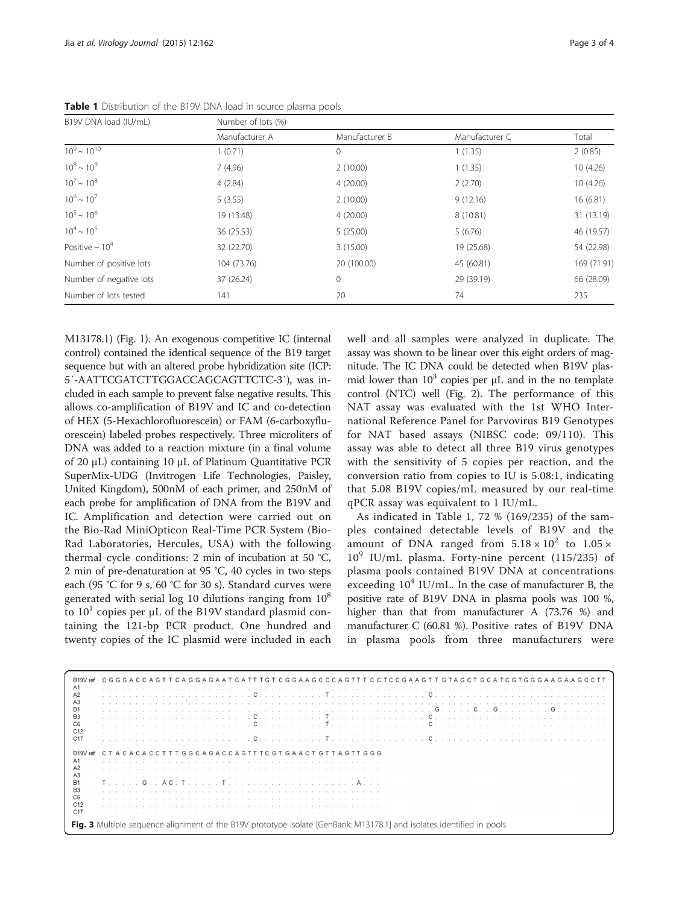<span id="page-2-0"></span>

|                       | Table 1 Distribution of the B19V DNA load in source plasma pools |  |
|-----------------------|------------------------------------------------------------------|--|
| B19V DNA load (IU/mL) | Number of lots (%)                                               |  |

| B19V DNA load (IU/mL)   | Number of lots (%) |                |                |             |  |  |  |  |  |  |  |  |  |  |
|-------------------------|--------------------|----------------|----------------|-------------|--|--|--|--|--|--|--|--|--|--|
|                         | Manufacturer A     | Manufacturer B | Manufacturer C | Total       |  |  |  |  |  |  |  |  |  |  |
| $10^9 \sim 10^{10}$     | 1(0.71)            | $\Omega$       | 1(1.35)        | 2(0.85)     |  |  |  |  |  |  |  |  |  |  |
| $10^8 \sim 10^9$        | 7(4.96)            | 2(10.00)       | 1(1.35)        | 10 (4.26)   |  |  |  |  |  |  |  |  |  |  |
| $10^7 \sim 10^8$        | 4(2.84)            | 4(20.00)       | 2(2.70)        | 10(4.26)    |  |  |  |  |  |  |  |  |  |  |
| $10^6 \sim 10^7$        | 5(3.55)            | 2(10.00)       | 9(12.16)       | 16(6.81)    |  |  |  |  |  |  |  |  |  |  |
| $10^5 \sim 10^6$        | 19 (13.48)         | 4(20.00)       | 8(10.81)       | 31 (13.19)  |  |  |  |  |  |  |  |  |  |  |
| $10^4 \sim 10^5$        | 36 (25.53)         | 5(25.00)       | 5(6.76)        | 46 (19.57)  |  |  |  |  |  |  |  |  |  |  |
| Positive $\sim 10^4$    | 32 (22.70)         | 3(15.00)       | 19 (25.68)     | 54 (22.98)  |  |  |  |  |  |  |  |  |  |  |
| Number of positive lots | 104 (73.76)        | 20 (100.00)    | 45 (60.81)     | 169 (71.91) |  |  |  |  |  |  |  |  |  |  |
| Number of negative lots | 37 (26.24)         | $\mathbf{0}$   | 29 (39.19)     | 66 (28.09)  |  |  |  |  |  |  |  |  |  |  |
| Number of lots tested   | 141                | 20             | 74             | 235         |  |  |  |  |  |  |  |  |  |  |

M13178.1) (Fig. [1](#page-1-0)). An exogenous competitive IC (internal control) contained the identical sequence of the B19 target sequence but with an altered probe hybridization site (ICP: 5′-AATTCGATCTTGGACCAGCAGTTCTC-3′), was included in each sample to prevent false negative results. This allows co-amplification of B19V and IC and co-detection of HEX (5-Hexachlorofluorescein) or FAM (6-carboxyfluorescein) labeled probes respectively. Three microliters of DNA was added to a reaction mixture (in a final volume of 20 μL) containing 10 μL of Platinum Quantitative PCR SuperMix-UDG (Invitrogen Life Technologies, Paisley, United Kingdom), 500nM of each primer, and 250nM of each probe for amplification of DNA from the B19V and IC. Amplification and detection were carried out on the Bio-Rad MiniOpticon Real-Time PCR System (Bio-Rad Laboratories, Hercules, USA) with the following thermal cycle conditions: 2 min of incubation at 50 °C, 2 min of pre-denaturation at 95 °C, 40 cycles in two steps each (95 °C for 9 s, 60 °C for 30 s). Standard curves were generated with serial log 10 dilutions ranging from  $10^8$ to  $10<sup>1</sup>$  copies per  $\mu$ L of the B19V standard plasmid containing the 121-bp PCR product. One hundred and twenty copies of the IC plasmid were included in each well and all samples were analyzed in duplicate. The assay was shown to be linear over this eight orders of magnitude. The IC DNA could be detected when B19V plasmid lower than  $10^3$  copies per  $\mu$ L and in the no template control (NTC) well (Fig. [2](#page-1-0)). The performance of this NAT assay was evaluated with the 1st WHO International Reference Panel for Parvovirus B19 Genotypes for NAT based assays (NIBSC code: 09/110). This assay was able to detect all three B19 virus genotypes with the sensitivity of 5 copies per reaction, and the conversion ratio from copies to IU is 5.08:1, indicating that 5.08 B19V copies/mL measured by our real-time qPCR assay was equivalent to 1 IU/mL.

As indicated in Table 1, 72 % (169/235) of the samples contained detectable levels of B19V and the amount of DNA ranged from  $5.18 \times 10^2$  to  $1.05 \times$  $10^9$  IU/mL plasma. Forty-nine percent (115/235) of plasma pools contained B19V DNA at concentrations exceeding  $10^4$  IU/mL. In the case of manufacturer B, the positive rate of B19V DNA in plasma pools was 100 %, higher than that from manufacturer A (73.76 %) and manufacturer C (60.81 %). Positive rates of B19V DNA in plasma pools from three manufacturers were

| B19V ref                                                                                                              | C G G G A C C A G T T C A G G A G A A T C A T T T G T C G C A G G T T T T C C T C C C A G C T T G T A G C G T G G G A A G A A G C C T T |  |  |  |  |  |  |  |  |  |  |  |  |  |  |  |  |  |                                    |  |  |  |  |                                                                                                                                                                                                                                                                                                                                                                                     |  |  |  |  |                                                                         |  |  |                                                                                                                                                                                                                                |  |
|-----------------------------------------------------------------------------------------------------------------------|-----------------------------------------------------------------------------------------------------------------------------------------|--|--|--|--|--|--|--|--|--|--|--|--|--|--|--|--|--|------------------------------------|--|--|--|--|-------------------------------------------------------------------------------------------------------------------------------------------------------------------------------------------------------------------------------------------------------------------------------------------------------------------------------------------------------------------------------------|--|--|--|--|-------------------------------------------------------------------------|--|--|--------------------------------------------------------------------------------------------------------------------------------------------------------------------------------------------------------------------------------|--|
| A1                                                                                                                    |                                                                                                                                         |  |  |  |  |  |  |  |  |  |  |  |  |  |  |  |  |  |                                    |  |  |  |  |                                                                                                                                                                                                                                                                                                                                                                                     |  |  |  |  |                                                                         |  |  |                                                                                                                                                                                                                                |  |
| A2                                                                                                                    |                                                                                                                                         |  |  |  |  |  |  |  |  |  |  |  |  |  |  |  |  |  |                                    |  |  |  |  |                                                                                                                                                                                                                                                                                                                                                                                     |  |  |  |  | . Cooperation of the communication of Courses of Indian American Indian |  |  |                                                                                                                                                                                                                                |  |
| A <sub>3</sub>                                                                                                        |                                                                                                                                         |  |  |  |  |  |  |  |  |  |  |  |  |  |  |  |  |  |                                    |  |  |  |  |                                                                                                                                                                                                                                                                                                                                                                                     |  |  |  |  |                                                                         |  |  |                                                                                                                                                                                                                                |  |
| <b>B1</b>                                                                                                             |                                                                                                                                         |  |  |  |  |  |  |  |  |  |  |  |  |  |  |  |  |  |                                    |  |  |  |  | $G_{\alpha\beta}$ . $G_{\alpha\beta}$ , $G_{\alpha\beta}$ , $G_{\alpha\beta}$ , $G_{\alpha\beta}$ , $G_{\alpha\beta}$ , $G_{\alpha\beta}$ , $G_{\alpha\beta}$ , $G_{\alpha\beta}$ , $G_{\alpha\beta}$ , $G_{\alpha\beta}$ , $G_{\alpha\beta}$ , $G_{\alpha\beta}$ , $G_{\alpha\beta}$ , $G_{\alpha\beta}$ , $G_{\alpha\beta}$ , $G_{\alpha\beta}$ , $G_{\alpha\beta}$ , $G_{\alpha$ |  |  |  |  |                                                                         |  |  |                                                                                                                                                                                                                                |  |
| B <sub>3</sub>                                                                                                        |                                                                                                                                         |  |  |  |  |  |  |  |  |  |  |  |  |  |  |  |  |  |                                    |  |  |  |  |                                                                                                                                                                                                                                                                                                                                                                                     |  |  |  |  |                                                                         |  |  |                                                                                                                                                                                                                                |  |
| C <sub>6</sub>                                                                                                        |                                                                                                                                         |  |  |  |  |  |  |  |  |  |  |  |  |  |  |  |  |  |                                    |  |  |  |  |                                                                                                                                                                                                                                                                                                                                                                                     |  |  |  |  |                                                                         |  |  |                                                                                                                                                                                                                                |  |
| C <sub>12</sub>                                                                                                       |                                                                                                                                         |  |  |  |  |  |  |  |  |  |  |  |  |  |  |  |  |  | a construction of the construction |  |  |  |  |                                                                                                                                                                                                                                                                                                                                                                                     |  |  |  |  |                                                                         |  |  |                                                                                                                                                                                                                                |  |
| C17                                                                                                                   |                                                                                                                                         |  |  |  |  |  |  |  |  |  |  |  |  |  |  |  |  |  |                                    |  |  |  |  |                                                                                                                                                                                                                                                                                                                                                                                     |  |  |  |  |                                                                         |  |  | . Conservative production of the product of the conservative conservative conservative conservative conservative conservative conservative conservative conservative conservative conservative conservative conservative conse |  |
|                                                                                                                       |                                                                                                                                         |  |  |  |  |  |  |  |  |  |  |  |  |  |  |  |  |  |                                    |  |  |  |  |                                                                                                                                                                                                                                                                                                                                                                                     |  |  |  |  |                                                                         |  |  |                                                                                                                                                                                                                                |  |
| <b>B19V</b>                                                                                                           | CTACACACCTTTGGCAGACCAGTTTCGTGAACTGTTAGTTGGG                                                                                             |  |  |  |  |  |  |  |  |  |  |  |  |  |  |  |  |  |                                    |  |  |  |  |                                                                                                                                                                                                                                                                                                                                                                                     |  |  |  |  |                                                                         |  |  |                                                                                                                                                                                                                                |  |
| A1                                                                                                                    |                                                                                                                                         |  |  |  |  |  |  |  |  |  |  |  |  |  |  |  |  |  |                                    |  |  |  |  |                                                                                                                                                                                                                                                                                                                                                                                     |  |  |  |  |                                                                         |  |  |                                                                                                                                                                                                                                |  |
| A2                                                                                                                    |                                                                                                                                         |  |  |  |  |  |  |  |  |  |  |  |  |  |  |  |  |  |                                    |  |  |  |  |                                                                                                                                                                                                                                                                                                                                                                                     |  |  |  |  |                                                                         |  |  |                                                                                                                                                                                                                                |  |
|                                                                                                                       |                                                                                                                                         |  |  |  |  |  |  |  |  |  |  |  |  |  |  |  |  |  |                                    |  |  |  |  |                                                                                                                                                                                                                                                                                                                                                                                     |  |  |  |  |                                                                         |  |  |                                                                                                                                                                                                                                |  |
| A <sub>3</sub>                                                                                                        |                                                                                                                                         |  |  |  |  |  |  |  |  |  |  |  |  |  |  |  |  |  |                                    |  |  |  |  |                                                                                                                                                                                                                                                                                                                                                                                     |  |  |  |  |                                                                         |  |  |                                                                                                                                                                                                                                |  |
| B <sub>1</sub>                                                                                                        |                                                                                                                                         |  |  |  |  |  |  |  |  |  |  |  |  |  |  |  |  |  |                                    |  |  |  |  |                                                                                                                                                                                                                                                                                                                                                                                     |  |  |  |  |                                                                         |  |  |                                                                                                                                                                                                                                |  |
| B <sub>3</sub>                                                                                                        |                                                                                                                                         |  |  |  |  |  |  |  |  |  |  |  |  |  |  |  |  |  |                                    |  |  |  |  |                                                                                                                                                                                                                                                                                                                                                                                     |  |  |  |  |                                                                         |  |  |                                                                                                                                                                                                                                |  |
| C <sub>6</sub>                                                                                                        |                                                                                                                                         |  |  |  |  |  |  |  |  |  |  |  |  |  |  |  |  |  |                                    |  |  |  |  |                                                                                                                                                                                                                                                                                                                                                                                     |  |  |  |  |                                                                         |  |  |                                                                                                                                                                                                                                |  |
| C <sub>12</sub>                                                                                                       |                                                                                                                                         |  |  |  |  |  |  |  |  |  |  |  |  |  |  |  |  |  |                                    |  |  |  |  |                                                                                                                                                                                                                                                                                                                                                                                     |  |  |  |  |                                                                         |  |  |                                                                                                                                                                                                                                |  |
| C <sub>17</sub>                                                                                                       |                                                                                                                                         |  |  |  |  |  |  |  |  |  |  |  |  |  |  |  |  |  |                                    |  |  |  |  |                                                                                                                                                                                                                                                                                                                                                                                     |  |  |  |  |                                                                         |  |  |                                                                                                                                                                                                                                |  |
|                                                                                                                       |                                                                                                                                         |  |  |  |  |  |  |  |  |  |  |  |  |  |  |  |  |  |                                    |  |  |  |  |                                                                                                                                                                                                                                                                                                                                                                                     |  |  |  |  |                                                                         |  |  |                                                                                                                                                                                                                                |  |
| Fig. 3 Multiple sequence alignment of the B19V prototype isolate [GenBank: M13178.1] and isolates identified in pools |                                                                                                                                         |  |  |  |  |  |  |  |  |  |  |  |  |  |  |  |  |  |                                    |  |  |  |  |                                                                                                                                                                                                                                                                                                                                                                                     |  |  |  |  |                                                                         |  |  |                                                                                                                                                                                                                                |  |
|                                                                                                                       |                                                                                                                                         |  |  |  |  |  |  |  |  |  |  |  |  |  |  |  |  |  |                                    |  |  |  |  |                                                                                                                                                                                                                                                                                                                                                                                     |  |  |  |  |                                                                         |  |  |                                                                                                                                                                                                                                |  |